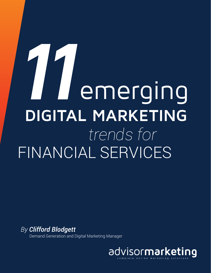# *trends for* FINANCIAL SERVICES **11**emerging **DIGITAL MARKETING**

*By Clifford Blodgett* **Demand Generation and Digital Marketing Manager** 

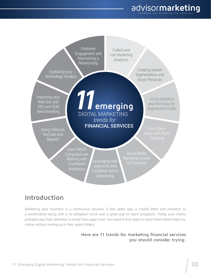



### **Introduction**

Marketing your business is a continuous process. A few years ago, a mailed letter and invitation to a presentation along with a no obligation lunch was a great way to reach prospects. Today, your clients probably pay more attention to email than paper mail. You need to find ways to reach them where they live, online, without ending up in their spam folders.

#### **Here are 11 trends for marketing financial services you should consider trying:**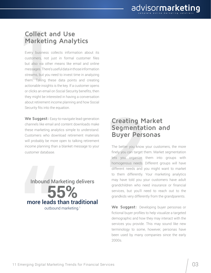#### **Collect and Use Marketing Analytics**

**Collect a**<br> **11**<br> **11**<br> **11**<br> **11**<br> **11**<br> **11**<br> **11**<br> **11**<br> **11**<br> **11**<br> **11**<br> **11**<br> **11**<br> **11**<br> **11**<br> **11**<br> **11**<br> **11**<br> **11**<br> **11**<br> **11**<br> **11**<br> **11**<br> **11**<br> **11**<br> **11**<br> **11**<br> **11**<br> **11**<br> **11**<br> **11**<br> **11**<br> **11**<br> **11**<br> **11**<br> Every business collects information about its customers, not just in formal customer files but also via other means like email and online messages. There's useful data in those information streams, but you need to invest time in analyzing them. Taking these data points and creating actionable insights is the key. If a customer opens or clicks an email on Social Security benefits, then they might be interested in having a conversation about retirement income planning and how Social Security fits into the equation.

**We Suggest:** Easy-to-navigate lead-generation channels like email and content downloads make these marketing analytics simple to understand. Customers who download retirement materials will probably be more open to talking retirement income planning than a blanket message to your Security fits into the equation.<br> **22** We Suggest: Easy-to-navigate lead-generation<br>
channels like email and content downloads make<br>
these marketing analytics simple to understand.<br>
Customers who download retirement materi

Inbound Marketing delivers more leads than traditional **55%** outbound marketing.<sup>1</sup>

#### **Creating Market Segmentation and Buyer Personas**

The better you know your customers, the more finely you can target them. Market segmentation lets you organize them into groups with homogenous needs. Different groups will have different needs and you might want to market to them differently. Your marketing analytics may have told you your customers have adult grandchildren who need insurance or financial services, but you'll need to reach out to the grandkids very differently from the grandparents.

**We Suggest:** Developing buyer personas or fictional buyer profiles to help visualize a targeted demographic and how they may interact with the services you provide. This may sound like new terminology to some, however, personas have been used by many companies since the early 2000s.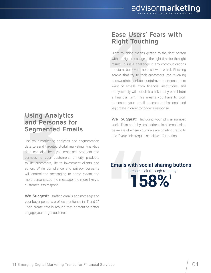#### **Using Analytics and Personas for Segmented Emails**

**33 July 2013**<br> **32 July 2013 Commented**<br>
Use your marketing ana<br>
data to send targeted di<br>
data can also help you<br>
services to your custo<br>
to life customers, life to<br>
so on. While compliand<br>
will control the messag Use your marketing analytics and segmentation data to send targeted digital marketing. Analytics data can also help you cross-sell products and services to your customers; annuity products to life customers, life to investment clients and so on. While compliance and privacy concerns will control the messaging to some extent, the more personalized the message, the more likely a customer is to respond.

**We Suggest:** Drafting emails and messages to your buyer persona profiles mentioned in "Trend 2." Then create emails around that content to better engage your target audience.

#### **Ease Users' Fears with Right Touching**

**Ease Users' F**<br>**Right Touchine**<br>Right touching means gett<br>with the right message at th<br>result. This is a challenge i<br>medium, but even more s<br>scams that try to trick cu<br>passwords to bankaccounts<br>wary of emails from fina<br>ma Right touching means getting to the right person with the right message at the right time for the right result. This is a challenge in any communications medium, but even more so with email. Phishing scams that try to trick customers into revealing passwords to bank accounts have made consumers wary of emails from financial institutions, and many simply will not click a link in any email from a financial firm. This means you have to work to ensure your email appears professional and legitimate in order to trigger a response.

We Suggest: Including your phone number, social links and physical address in all email. Also, be aware of where your links are pointing traffic to and if your links require sensitive information.

Emails with social sharing buttons

increase click through rates by

**158%1**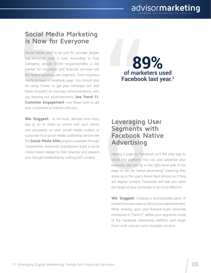#### **Social Media Marketing is Now for Everyone**

**Social Media<br>is Now for E**<br>Social media used to be<br>but everyone uses it r<br>Company, people 55-64<br>market for insurance an<br>the fastest growing user<br>needs to have a Faceboc<br>be using Twitter to get<br>these shouldn't be one-w Social media used to be just for younger people, but everyone uses it now. According to Fast Company, people 55-64—unquestionably a key market for insurance and financial services—are the fastest growing user segment. Every business needs to have a Facebook page. You should also be using Twitter to get your message out. And these shouldn't be one-way communications, with you blasting out advertisements. **See Trend 11, Customer Engagement**—use these tools to get your customers to interact with you.

**We Suggest:** At the least, allocate time every day or so to share an article with your clients and prospects on your social media outlets or subscribe to a social media publishing service like the **Social Media Elite** program available through CreativeOne. Advanced practitioners build a social media brand related to their practice and present your classionnels to initiate whir you.<br>
Your classical contract whir you.<br>
day or so to share an article with your clients<br>
and prospects on your social media outlets or<br>
subscribe to a social media publishing service lik

## of marketers used **89%** Facebook last year.<sup>2</sup>

#### **Leveraging User Segments with Facebook Native Advertising**

Having a page on Facebook isn't the only way to utilize this platform. You can also advertise your business; ads can be in the right-hand side of the page or can be "native advertising," meaning they show up in the user's News Feed almost as if they are regular content. Facebook will help you tailor the target of your campaign to be most effective.

**We Suggest:** Creating a downloadable piece of content to entice users to click on your advertisement. While drawing upon your fictional buyer personas mentioned in "Trend 2", define your segments inside of the Facebook Advertising platform and target them with relevant and clickable content.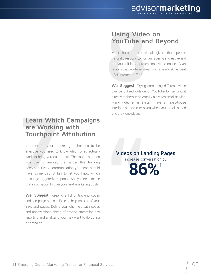#### **Learn Which Campaigns are Working with Touchpoint Attribution**

**Learn Which are Working<br>
<b>Touchpoint**<br>
In order for your man<br>
effective, you need to k<br>
work to bring you custo<br>
you use to market, the becomes. Every communtance some distinct key<br>
message triggered a resp In order for your marketing techniques to be effective, you need to know which ones actually work to bring you customers. The more methods you use to market, the harder this tracking becomes. Every communication you send should have some distinct key to let you know which message triggered a response. And you need to use that information to plan your next marketing push.

**We Suggest:** Keeping a list of tracking codes and campaign notes in Excel to help track all of your links and pages. Define your channels with codes and abbreviations ahead of time to streamline any reporting and analyzing you may want to do during a campaign.

#### **Using Video on YouTube and Beyond**

**Sing Video**<br> **8**<br>
Most humans are vis<br>
naturally respond to human<br>
put yourself into a profes<br>
reports that Youtube stread<br>
of all Internet traffic.<sup>4</sup><br>
We Suggest: Trying s<br>
can be utilized outside of Most humans are visual; given that, people naturally respond to human faces. Get creative and put yourself into a professional video online. CNet reports that Youtube streaming is nearly 20 percent of all Internet traffic.<sup>4</sup>

**We Suggest:** Trying something different. Video can be utilized outside of YouTube by sending it directly to them in an email via a video email service. Many video email system have an easy-to-use interface and even tells you when your email is read and the video played.

Videos on Landing Pages increase conversation by **86%1**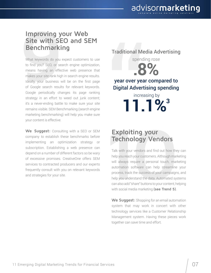#### **Improving your Web Site with SEO and SEM Benchmarking**

**Site with SE<br>Benchmarkin**<br>What keywords do you e<br>to find you? SEO, or sea<br>means having an effect<br>makes your site rank high<br>Ideally, your business wi<br>of Google search results<br>Google periodically chan What keywords do you expect customers to use to find you? SEO, or search engine optimization, means having an effective web presence that makes your site rank high in search engine results. Ideally, your business will be on the first page of Google search results for relevant keywords. Google periodically changes its page ranking strategy in an effort to weed out junk content; it's a never-ending battle to make sure your site remains visible. SEM Benchmarking (search engine marketing benchmarking) will help you make sure your content is effective.

**We Suggest:** Consulting with a SEO or SEM company to establish these benchmarks before implementing an optimization strategy or subscription. Establishing a web presence can depend on a number of different factors so be wary of excessive promises. CreativeOne offers SEM services to contracted producers and our experts frequently consult with you on relevant keywords Sour content is effective.<br>
We Suggest: Consulting with a SEO or SEM<br>
implementing an optimization strategy or<br>
depend on a number of different factors so be wary<br>
of excessive promises. CreativeOne offers SEM<br>
services to

Traditional Media Advertising spending rose **.8%** year over year compared to Digital Advertising spending increasing by **11.1%3**

# **Technology Vendors**

Talk with your vendors and find out how they can help you reach your customers. Although marketing will always require a personal touch, marketing automation software can help streamline your process, track the success of your campaigns, and help you understand the data. Automated systems can also add "share" buttons to your content, helping with social media marketing **(see Trend 5)**.

**We Suggest:** Shopping for an email automation system that may work in concert with other technology services like a Customer Relationship Management system. Having these pieces work together can save time and effort.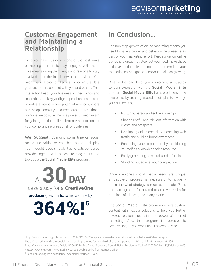## **and Maintaining a Relationship**

**Customer Engagement<br>
and Maintaining a**<br> **Relationship**<br>
Once you have customers, one of the best ways<br>
of keeping them is to stay engaged with them.<br>
This means giving them ways and reasons to stay<br>
involved after the in Once you have customers, one of the best ways of keeping them is to stay engaged with them. This means giving them ways and reasons to stay involved after the initial service is provided. You might have a blog or discussion forum that lets your customers connect with you and others. This interaction keeps your business on their minds and makes it more likely you'll get repeat business. It also provides a venue where potential new customers see the opinions of your current customers; if those opinions are positive, this is a powerful mechanism for gaining additional clientele (remember to consult your compliance professional for guidelines).

**We Suggest:** Spending some time on social media and writing relevant blog posts to display your thought leadership abilities. CreativeOne also provides agents with access to blog posts and topics via the **Social Media Elite** program.

<sup>a</sup> **30 day producer** grew traffic to his website by case study for a **CreativeOne**

**364%!5**

#### **In Conclusion…**

The non-stop growth of online marketing means you need to have a bigger and better online presence as part of your marketing effort. Keeping up on online trends is a great first step, but you need make these initiatives actionable and incorporate them into your marketing campaigns to keep your business growing.

CreativeOne can help you implement a strategy to gain exposure with the **Social Media Elite** program. **Social Media Elite** helps producers grow awareness by creating a social media plan to leverage your business by:

- Nurturing personal client relationships
- Sharing useful and relevant information with clients and prospects
- Developing online credibility, increasing web traffic and building brand awareness
- Enhancing your reputation by positioning yourself as a knowledgeable resource
- Easily generating new leads and referrals
- Standing out against your competition

Since everyone's social media needs are unique, a discovery process is necessary to properly determine what strategy is most appropriate. Plans and packages are formulated to achieve results for practices of all sizes, and in any market.

The **Social Media Elite** program delivers custom content with flexible solutions to help you further develop relationships using the power of internet marketing. And, this program is exclusive to CreativeOne, so you won't find it anywhere else.

<sup>1</sup> http://www.marketingprofs.com/chirp/2014/12372/20-captivating-marketing-statistics-that-will-drive-2014-infographic

<sup>2</sup> http://marketingland.com/social-media-driving-revenue-for-one-third-of-b2c-companies-one-fifth-of-b2b-firms-report-64256

<sup>3</sup> http://www.emarketer.com/Article/B2Cs-B2Bs-See-Digital-Social-Ad-Spend-Rising-Traditional-Stalls/1010270#8xslx3Q3VluUobsW.99

<sup>4</sup>http://www.cnet.com/news/netflix-youtube-gobble-up-half-of-internet-traffic/

<sup>&</sup>lt;sup>5</sup> Based on one agent's experience. Additional results will vary.